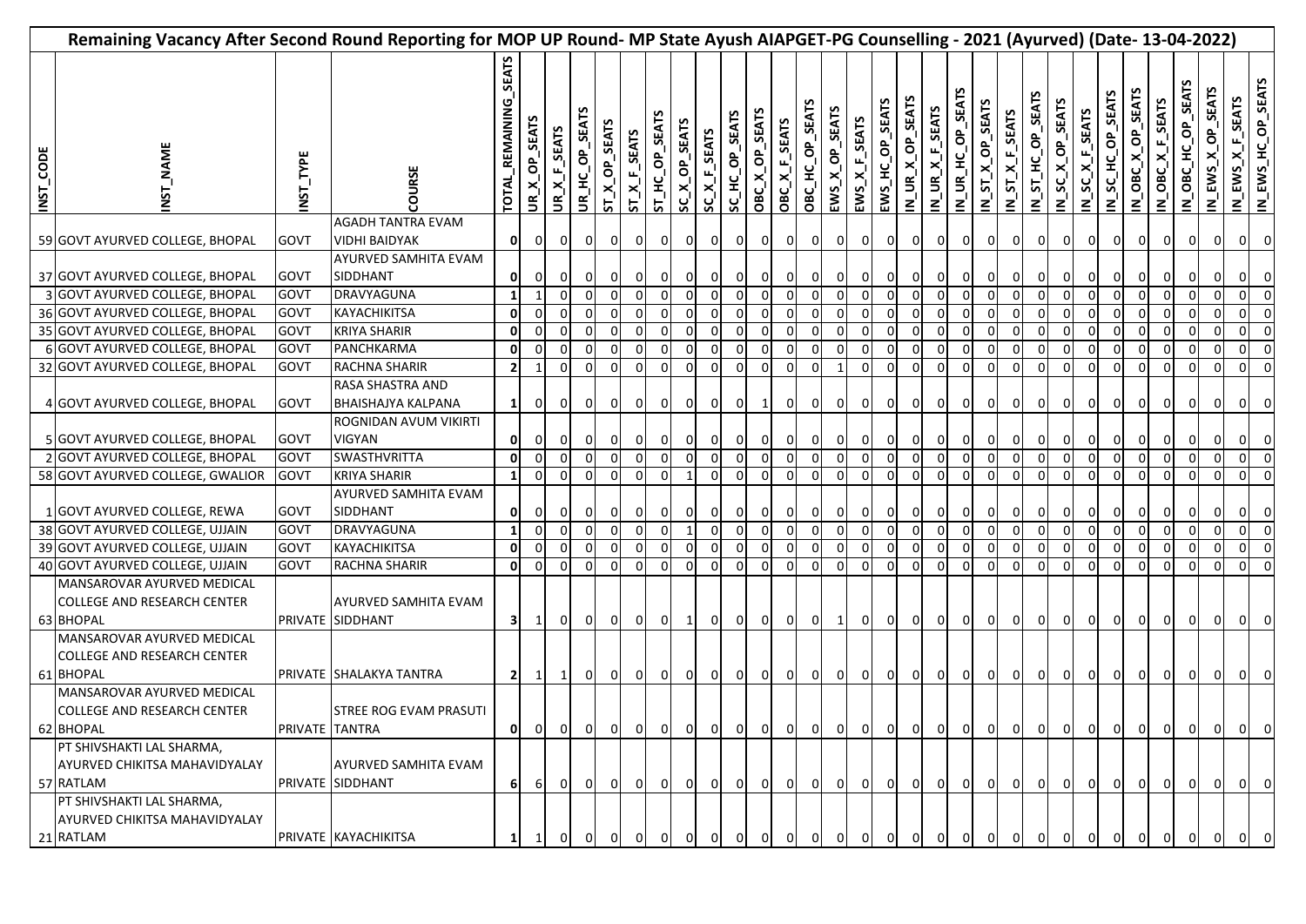| Remaining Vacancy After Second Round Reporting for MOP UP Round- MP State Ayush AIAPGET-PG Counselling - 2021 (Ayurved) (Date- 13-04-2022) |                                                                               |                |                                               |                       |                |                |                |                           |                  |                   |               |                                           |                |                                  |                |                 |                     |                                    |                 |                  |                         |                             |                         |                |                  |                   |                 |                  |                   |                                                |                         |                              |                |                                        |
|--------------------------------------------------------------------------------------------------------------------------------------------|-------------------------------------------------------------------------------|----------------|-----------------------------------------------|-----------------------|----------------|----------------|----------------|---------------------------|------------------|-------------------|---------------|-------------------------------------------|----------------|----------------------------------|----------------|-----------------|---------------------|------------------------------------|-----------------|------------------|-------------------------|-----------------------------|-------------------------|----------------|------------------|-------------------|-----------------|------------------|-------------------|------------------------------------------------|-------------------------|------------------------------|----------------|----------------------------------------|
| INST_CODE                                                                                                                                  | <b>NAME</b><br><b>NST</b>                                                     | NST_TYPE       | COURSE                                        | TOTAL_REMAINING_SEATS | JR_X_OP_SEATS  | UR_X_F_SEATS   | UR_HC_OP_SEATS | ST_X_OP_SEATS             | $ST\_X_F$ _SEATS | ST_HC_OP_SEATS    | SC_X_OP_SEATS | SC_X_F_SEATS                              | SC_HC_OP_SEATS | OBC_X_OP_SEATS                   | OBC_X_F_SEATS  | OBC_HC_OP_SEATS | EWS_X_OP_SEATS      | $EWS_{\_}$ $K_{\_}$ $E_{\_}$ SEATS | EWS_HC_OP_SEATS | IN_UR_X_OP_SEATS | $N_U$ UR $X_F$ SEATS    | <b>SEATS</b><br>IN_UR_HC_OP | N_ST_X_OP_SEATS         | N_ST_X_F_SEATS | N_ST_HC_OP_SEATS | N_SC_X_OP_SEATS   | $N_SC_XF_SEATS$ | N_SC_HC_OP_SEATS | IN_OBC_X_OP_SEATS | <b>F</b> SEATS<br>N_OBC_X                      | SEA<br>N_OBC_HC_OP      | SEATS<br>$\sigma$<br>N_EWS_X |                | IN_EWS_X_F_SEATS<br>IN_EWS_HC_OP_SEATS |
|                                                                                                                                            |                                                                               |                | <b>AGADH TANTRA EVAM</b>                      |                       |                |                |                |                           |                  |                   |               |                                           |                |                                  |                |                 |                     |                                    |                 |                  |                         |                             |                         |                |                  |                   |                 |                  |                   |                                                |                         |                              |                |                                        |
|                                                                                                                                            | 59 GOVT AYURVED COLLEGE, BHOPAL                                               | <b>GOVT</b>    | <b>VIDHI BAIDYAK</b><br>AYURVED SAMHITA EVAM  | 0                     | $\overline{0}$ | $\overline{0}$ | $\Omega$       | οI                        |                  | 0<br>0            |               | $\overline{0}$<br>01                      |                | $\overline{0}$<br>$\overline{0}$ | 0I             | $\overline{0}$  | οI                  | $\overline{0}$                     | 01              | $\mathbf{0}$     | 0                       | $\overline{0}$              | 0                       | 0              | $\overline{0}$   | $\overline{0}$    | $\overline{0}$  | $\overline{0}$   | $\overline{0}$    | $\overline{0}$                                 | $\mathbf 0$             | $\overline{0}$               | 0I             | 0                                      |
|                                                                                                                                            | 37 GOVT AYURVED COLLEGE, BHOPAL                                               | GOVT           | SIDDHANT                                      | ΟI                    | $\overline{0}$ | $\overline{0}$ |                | $\mathbf{0}$              |                  | 0<br>οı           |               | $\overline{0}$<br>$\overline{0}$          |                | $\overline{0}$<br>$\overline{0}$ | 0I             | $\overline{0}$  | $\overline{0}$      | $\overline{0}$                     | 01              | $\overline{0}$   |                         | $\overline{0}$              | $\mathbf{0}$            | $\mathbf{0}$   | $\overline{0}$   | $\mathbf{0}$      | οı              | οı               | $\overline{0}$    | $\overline{0}$                                 | $\mathbf{0}$            | $\Omega$                     | $\overline{0}$ | $\mathbf 0$                            |
|                                                                                                                                            | 3 GOVT AYURVED COLLEGE, BHOPAL                                                | GOVT           | DRAVYAGUNA                                    | $\mathbf{1}$          |                | $\Omega$       |                |                           |                  |                   |               |                                           |                | οI                               |                | 0               | $\Omega$            | $\overline{0}$                     |                 | $\overline{0}$   |                         | $\overline{0}$              |                         | $\overline{0}$ | $\Omega$         | $\overline{0}$    |                 |                  |                   |                                                |                         |                              |                | $\Omega$                               |
|                                                                                                                                            | 36 GOVT AYURVED COLLEGE, BHOPAL                                               | GOVT           | <b>KAYACHIKITSA</b>                           | $\mathbf{0}$          | $\Omega$       | $\overline{0}$ |                | $\mathbf 0$               |                  |                   |               | $\mathbf{0}$                              |                | οI                               |                | 0               |                     | $\overline{0}$                     |                 |                  |                         |                             |                         | $\Omega$       | $\Omega$         | $\overline{0}$    | $\Omega$        | $\Omega$         | $\Omega$          | $\overline{0}$                                 |                         |                              |                | $\Omega$                               |
|                                                                                                                                            | 35 GOVT AYURVED COLLEGE, BHOPAL                                               | GOVT           | <b>KRIYA SHARIR</b>                           | $\mathbf{0}$          | $\Omega$       | $\Omega$       | $\Omega$       | $\Omega$                  |                  | $\Omega$          |               | $\Omega$                                  | $\Omega$       | οI                               | $\Omega$       | οI              | $\Omega$            | 0l                                 | $\Omega$        | $\Omega$         |                         |                             |                         | $\Omega$       | $\Omega$         | $\overline{0}$    | $\Omega$        | $\Omega$         | $\Omega$          | $\overline{0}$                                 | $\overline{0}$          | $\Omega$                     | οI             | $\mathbf 0$                            |
|                                                                                                                                            | 6 GOVT AYURVED COLLEGE, BHOPAL                                                | GOVT           | PANCHKARMA                                    | 0l                    | $\Omega$       | $\Omega$       | $\Omega$       | $\Omega$                  | $\Omega$         | $\Omega$          |               | $\Omega$                                  | $\Omega$       | $\Omega$                         | $\Omega$       | $\Omega$        | $\Omega$            | $\Omega$                           | $\Omega$        | $\Omega$         | $\Omega$                | $\Omega$                    | $\Omega$                | $\Omega$       | $\Omega$         | $\Omega$          | $\Omega$        | $\Omega$         | $\Omega$          | $\circ$                                        | $\Omega$                | $\Omega$                     | $\Omega$       | $\overline{0}$                         |
|                                                                                                                                            | 32 GOVT AYURVED COLLEGE, BHOPAL                                               | GOVT           | <b>RACHNA SHARIR</b>                          | $\overline{2}$        | $\overline{1}$ | $\Omega$       | $\Omega$       | $\Omega$                  | $\Omega$         | $\Omega$          | $\Omega$      | $\Omega$                                  | $\Omega$       | 0l                               | $\Omega$       | $\Omega$        | $\overline{1}$      | $\Omega$                           | $\Omega$        | $\Omega$         | $\Omega$                | $\Omega$                    | $\Omega$                | $\Omega$       | $\Omega$         | $\overline{0}$    | $\Omega$        | $\Omega$         | $\Omega$          | $\overline{0}$                                 | $\Omega$                | $\Omega$                     | ΩI             | $\mathbf 0$                            |
|                                                                                                                                            | 4 GOVT AYURVED COLLEGE, BHOPAL                                                | <b>GOVT</b>    | RASA SHASTRA AND<br><b>BHAISHAJYA KALPANA</b> | $\mathbf{1}$          | οI             | $\overline{0}$ | $\Omega$       | οI                        |                  | οı<br>01          |               | $\overline{0}$<br>0 I                     |                | 01<br>1                          | ΟI             | $\overline{0}$  | 0I                  | $\overline{0}$                     | $\overline{0}$  | $\overline{0}$   | $\overline{0}$          | $\overline{0}$              | οI                      | 0              | $\overline{0}$   | $\overline{0}$    | $\mathbf{0}$    | $\mathbf{0}$     | $\overline{0}$    | $\overline{0}$                                 | $\overline{0}$          | 0                            | ΟI             | 0                                      |
|                                                                                                                                            | 5 GOVT AYURVED COLLEGE, BHOPAL                                                | <b>GOVT</b>    | ROGNIDAN AVUM VIKIRTI<br><b>VIGYAN</b>        | 0                     | 0              | $\overline{0}$ |                | $\overline{0}$            |                  | 0<br>0            |               | 0 I                                       |                | $\overline{0}$<br>ΟI             | 01             | $\overline{0}$  | $\overline{0}$      | $\overline{0}$                     | 01              | $\overline{0}$   | $\Omega$                | $\overline{0}$              | οı                      | 0              | $\overline{0}$   | 0                 | οı              | $\mathbf{0}$     | $\overline{0}$    | $\mathbf{0}$                                   | $\overline{0}$          | $\mathbf{0}$                 | οı             | 0                                      |
|                                                                                                                                            | 2 GOVT AYURVED COLLEGE, BHOPAL                                                | <b>GOVT</b>    | <b>SWASTHVRITTA</b>                           | $\mathbf{0}$          | 0              | $\overline{0}$ | $\mathbf 0$    | $\overline{0}$            | 0                |                   |               | $\mathbf{0}$                              | $\Omega$       | οI                               | $\Omega$       | 0               | $\Omega$            | οI                                 | $\Omega$        | $\overline{0}$   |                         | $\Omega$                    | $\Omega$                | 0l             | $\mathbf{0}$     | $\mathbf{0}$      | $\mathbf{0}$    | οI               | $\mathbf{0}$      | $\overline{0}$                                 | $\overline{0}$          | $\overline{0}$               | $\overline{0}$ | - 0                                    |
|                                                                                                                                            | 58 GOVT AYURVED COLLEGE, GWALIOR                                              | GOVT           | <b>KRIYA SHARIR</b>                           | 1                     | 0              | $\mathbf 0$    | 0              | 0                         | 0                |                   | -1            | $\mathbf{0}$                              | 0              | 0                                | $\overline{0}$ | οI              | $\overline{0}$      | $\overline{0}$                     | $\Omega$        | $\Omega$         | $\Omega$                | $\Omega$                    | $\Omega$                | $\Omega$       | $\overline{0}$   | οI                | οI              | οI               | $\mathbf{0}$      | $\overline{0}$                                 | $\overline{0}$          | $\overline{0}$               | 01             | $\Omega$                               |
|                                                                                                                                            | 1 GOVT AYURVED COLLEGE, REWA                                                  | GOVT           | AYURVED SAMHITA EVAM<br>SIDDHANT              | $\mathbf{0}$          | 0              | $\mathbf 0$    | O              | $\overline{0}$            | 0                | 0                 | 0             | $\overline{0}$                            |                | $\overline{0}$<br>$\overline{0}$ | 01             | $\overline{0}$  | 0                   | $\overline{0}$                     |                 | $\overline{0}$   |                         | 0                           | 0                       | $\mathbf{0}$   | $\mathbf{0}$     | $\mathbf{0}$      | $\mathbf{0}$    | οı               | 0                 | $\overline{0}$                                 | $\mathbf{0}$            | $\Omega$                     | $\overline{0}$ | 0                                      |
|                                                                                                                                            | 38 GOVT AYURVED COLLEGE, UJJAIN                                               | GOVT           | DRAVYAGUNA                                    | $\mathbf 1$           | $\Omega$       | $\Omega$       | $\Omega$       | $\Omega$                  | $\Omega$         |                   | - 1           | $\Omega$                                  | $\Omega$       | 0 I                              | $\Omega$       | οI              | $\Omega$            | $\Omega$                           | $\Omega$        | $\Omega$         |                         | $\Omega$                    | $\Omega$                | $\Omega$       | $\Omega$         | $\Omega$          | $\Omega$        | $\Omega$         | $\Omega$          | 0                                              |                         |                              |                | 0                                      |
|                                                                                                                                            | 39 GOVT AYURVED COLLEGE, UJJAIN                                               | GOVT           | KAYACHIKITSA                                  | 0l                    | $\Omega$       | $\overline{0}$ | $\Omega$       | $\overline{0}$            | $\Omega$         | 0                 |               | $\overline{0}$                            | $\Omega$       | 0                                | $\Omega$       | οI              | $\overline{0}$      | $\overline{0}$                     | $\Omega$        | $\mathbf 0$      |                         | $\Omega$                    | $\Omega$                | $\Omega$       | $\overline{0}$   | $\overline{0}$    | $\Omega$        | $\Omega$         | $\Omega$          | $\overline{0}$                                 |                         |                              |                |                                        |
|                                                                                                                                            | 40 GOVT AYURVED COLLEGE, UJJAIN                                               | GOVT           | RACHNA SHARIR                                 | $\mathbf{0}$          | $\mathbf 0$    | $\mathbf 0$    | $\mathbf 0$    | 0                         |                  | 0<br>0            | 0             | οI                                        | οI             | οI                               | $\Omega$       | οI              | οI                  | οI                                 | οI              | $\mathbf{0}$     | $\Omega$                | $\Omega$                    | $\Omega$                | $\overline{0}$ | $\mathbf{0}$     | οI                | $\mathbf{0}$    | οI               | $\overline{0}$    | $\overline{0}$                                 | $\overline{0}$          | 0                            | 0              |                                        |
|                                                                                                                                            | MANSAROVAR AYURVED MEDICAL<br><b>COLLEGE AND RESEARCH CENTER</b><br>63 BHOPAL |                | AYURVED SAMHITA EVAM<br>PRIVATE SIDDHANT      | 31                    | $\mathbf{1}$   | $\overline{0}$ |                | $\overline{0}$            | $0\quad 0$       |                   | $0 \mid 1$    |                                           | $\overline{0}$ | $\overline{0}$<br>$\overline{0}$ |                |                 | $0 \quad 0 \quad 1$ |                                    |                 |                  |                         |                             |                         |                |                  | 이 이 이 이 이 이 이 이 이 |                 |                  |                   | $\begin{array}{ccc} 0 & 0 & 0 & 0 \end{array}$ |                         | $\overline{0}$               |                | $ 0 $ 0                                |
|                                                                                                                                            | MANSAROVAR AYURVED MEDICAL<br>COLLEGE AND RESEARCH CENTER<br>61 BHOPAL        |                | PRIVATE SHALAKYA TANTRA                       | 21                    | $\mathbf{1}$   | $1\vert$       |                | $\circ$<br>$\overline{0}$ |                  | $\mathbf{0}$<br>0 |               | $\overline{0}$<br>$\overline{0}$          | $\overline{0}$ | $\mathbf{0}$                     | $\overline{0}$ | 0               | $\overline{0}$      | $\overline{0}$                     | $\overline{0}$  | $\overline{0}$   | $\overline{0}$          | $\overline{0}$              | $\overline{0}$          | $\overline{0}$ | $\overline{0}$   | $\overline{0}$    | $\overline{0}$  | $\overline{0}$   | $\overline{0}$    | $\overline{0}$                                 | $\overline{\mathbf{0}}$ | 0                            |                | 0                                      |
|                                                                                                                                            | MANSAROVAR AYURVED MEDICAL                                                    |                |                                               |                       |                |                |                |                           |                  |                   |               |                                           |                |                                  |                |                 |                     |                                    |                 |                  |                         |                             |                         |                |                  |                   |                 |                  |                   |                                                |                         |                              |                |                                        |
|                                                                                                                                            | <b>COLLEGE AND RESEARCH CENTER</b>                                            |                | <b>STREE ROG EVAM PRASUTI</b>                 |                       |                |                |                |                           |                  |                   |               |                                           |                |                                  |                |                 |                     |                                    |                 |                  |                         |                             |                         |                |                  |                   |                 |                  |                   |                                                |                         |                              |                |                                        |
|                                                                                                                                            | 62 BHOPAL                                                                     | PRIVATE TANTRA |                                               | ΟI                    | $\mathbf{0}$   | 01             |                | $\mathbf{0}$<br>01        |                  | 0<br>0            |               | $\overline{0}$<br>0 I                     |                | $\overline{0}$<br>$\mathbf{0}$   | $\mathbf{0}$   | $\overline{0}$  | $\overline{0}$      | $\overline{0}$                     | $\overline{0}$  | $\overline{0}$   | $\overline{\mathbf{0}}$ | 0 I                         | 0                       | $\overline{0}$ | 0                | $\overline{0}$    | $\overline{0}$  | $\overline{0}$   |                   | $\overline{O}$ $\overline{O}$                  | $\overline{O}$          | $\overline{0}$               |                | $0 \big  0$                            |
|                                                                                                                                            | PT SHIVSHAKTI LAL SHARMA,<br>AYURVED CHIKITSA MAHAVIDYALAY                    |                | AYURVED SAMHITA EVAM                          |                       |                |                |                |                           |                  |                   |               |                                           |                |                                  |                |                 |                     |                                    |                 |                  |                         |                             |                         |                |                  |                   |                 |                  |                   |                                                |                         |                              |                |                                        |
|                                                                                                                                            | 57 RATLAM                                                                     |                | PRIVATE SIDDHANT                              | 6 <sup>1</sup>        | 6              | $\overline{0}$ |                | $\overline{0}$<br>0 I     | 0                | 0                 |               | $\overline{0}$<br>$\overline{\mathbf{0}}$ |                | 01<br>$\mathbf{0}$               | $\overline{0}$ | $\overline{0}$  | $\overline{0}$      | $\mathbf{0}$                       | $\overline{0}$  | $\overline{0}$   | $\overline{O}$          | $\overline{0}$              | $\overline{\mathbf{0}}$ | $\mathbf{0}$   | $\overline{0}$   | $\overline{0}$    | $\overline{0}$  | $\overline{0}$   |                   | $0$ 0 0                                        |                         | 0                            |                | $ 0 $ 0                                |
|                                                                                                                                            | PT SHIVSHAKTI LAL SHARMA,<br>AYURVED CHIKITSA MAHAVIDYALAY<br>21 RATLAM       |                | PRIVATE KAYACHIKITSA                          |                       |                |                |                |                           |                  |                   |               |                                           |                |                                  |                |                 |                     |                                    |                 |                  |                         |                             |                         |                |                  |                   |                 |                  |                   |                                                |                         |                              |                | 0                                      |